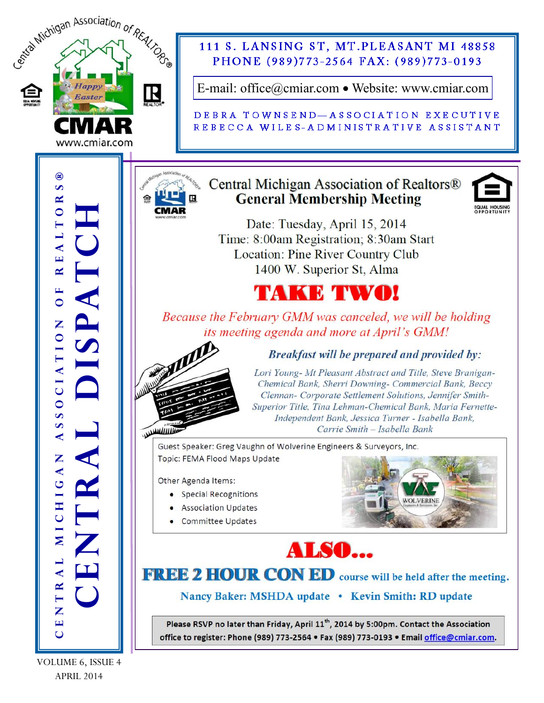

VOLUME 6, ISSUE 4 APRIL 2014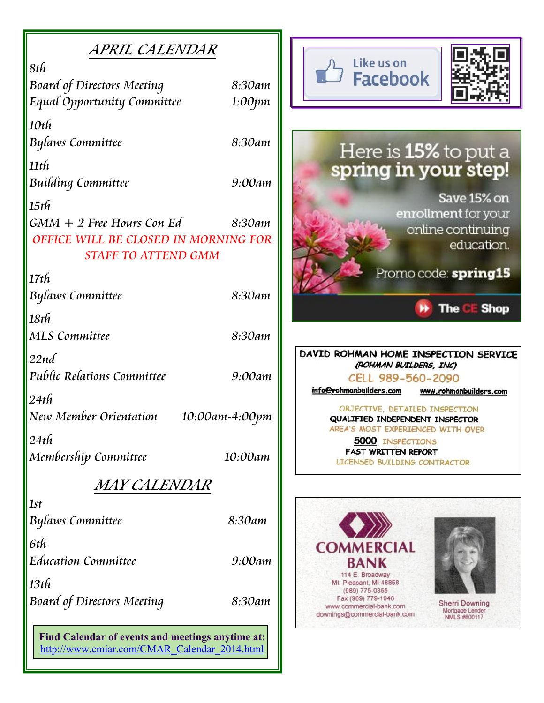|--|

| 8th                                  |                |
|--------------------------------------|----------------|
| <b>Board of Directors Meeting</b>    | 8:30am         |
| Equal Opportunity Committee          | 1:00pm         |
|                                      |                |
| $10t$ h                              |                |
| Bylaws Committee                     | 8:30am         |
| $11$ th                              |                |
|                                      | 9:00am         |
| <b>Building Committee</b>            |                |
| $15$ th                              |                |
| $GMM + 2$ Free Hours Con Ed          | 8:30am         |
| OFFICE WILL BE CLOSED IN MORNING FOR |                |
| <b>STAFF TO ATTEND GMM</b>           |                |
|                                      |                |
| 17th                                 |                |
| <b>Bylaws Committee</b>              | 8:30am         |
| 18th                                 |                |
| <b>MLS Committee</b>                 | 8:30am         |
|                                      |                |
| 22nd                                 |                |
| Public Relations Committee           | 9:00am         |
| $24t$ h                              |                |
|                                      |                |
| New Member Orientation               | 10:00am-4:00pm |
| $24t$ h                              |                |
| Membership Committee                 | 10:00am        |
|                                      |                |
| <i>MAY CALENDAR</i>                  |                |
| 1st                                  |                |
| <b>Bylaws Committee</b>              | 8:30am         |
|                                      |                |
| 6th                                  |                |
| <b>Education Committee</b>           | 9:00am         |
| 13th                                 |                |
| <b>Board of Directors Meeting</b>    | 8:30am         |
|                                      |                |
|                                      |                |

Find Calendar of events and meetings anytime at: http://www.cmiar.com/CMAR\_Calendar\_2014.html



## Here is 15% to put a spring in your step!

Save 15% on enrollment for your online continuing education.

Promo code: spring15

b) **The CE Shop** 

DAVID ROHMAN HOME INSPECTION SERVICE (ROHMAN BUILDERS, INC) CELL 989-560-2090

info@rohmanbuilders.com www.rohmanbuilders.com

OBJECTIVE, DETAILED INSPECTION QUALIFIED INDEPENDENT INSPECTOR AREA'S MOST EXPERIENCED WITH OVER

**5000 INSPECTIONS FAST WRITTEN REPORT** LICENSED BUILDING CONTRACTOR

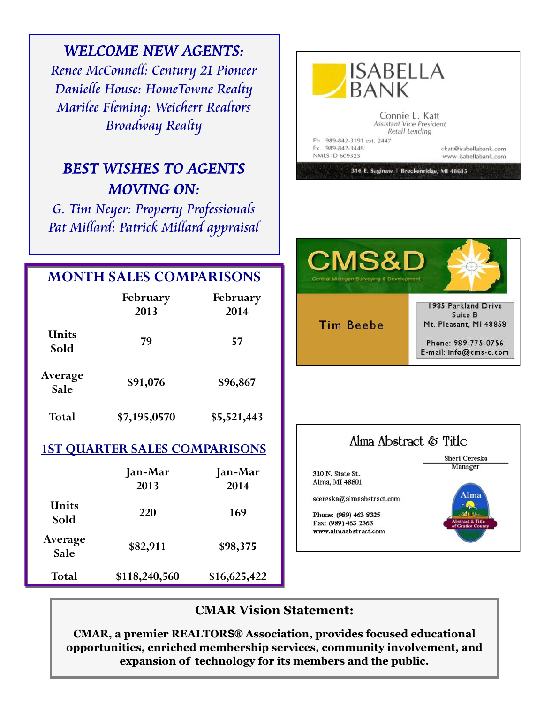|                                      | <b>WELCOME NEW AGENTS:</b><br>Renee McConnell: Century 21 Pioneer<br>Danielle House: HomeTowne Realty<br><b>Marilee Fleming: Weichert Realtors</b><br><b>Broadway Realty</b><br><b>BEST WISHES TO AGENTS</b><br><b>MOVING ON:</b><br>G. Tim Neyer: Property Professionals<br>Pat Millard: Patrick Millard appraisal |                  | <b>ISABELLA</b><br>BANK<br>Connie L. Katt<br><b>Assistant Vice President</b><br>Retail Lending<br>Ph. 989-842-3191 ext. 2447<br>Fx. 989-842-3448<br>ckatt@isabellabank.com<br>NMLS ID 609323<br>www.isabellabank.com<br>316 E. Saginaw   Breckenridge, MI 48615 |
|--------------------------------------|---------------------------------------------------------------------------------------------------------------------------------------------------------------------------------------------------------------------------------------------------------------------------------------------------------------------|------------------|-----------------------------------------------------------------------------------------------------------------------------------------------------------------------------------------------------------------------------------------------------------------|
|                                      |                                                                                                                                                                                                                                                                                                                     |                  |                                                                                                                                                                                                                                                                 |
|                                      | <b>MONTH SALES COMPARISONS</b>                                                                                                                                                                                                                                                                                      |                  | <b>CMS&amp;D</b><br>Central Michigan Surveying & Development                                                                                                                                                                                                    |
|                                      | February<br>2013                                                                                                                                                                                                                                                                                                    | February<br>2014 | 1985 Parkland Drive<br>Suite B<br><b>Tim Beebe</b><br>Mt. Pleasant, MI 48858<br>Phone: 989-775-0756<br>E-mail: info@cms-d.com                                                                                                                                   |
| Units<br>Sold                        | 79                                                                                                                                                                                                                                                                                                                  | 57               |                                                                                                                                                                                                                                                                 |
| Average<br>Sale                      | \$91,076                                                                                                                                                                                                                                                                                                            | \$96,867         |                                                                                                                                                                                                                                                                 |
| <b>Total</b>                         | \$7,195,0570                                                                                                                                                                                                                                                                                                        | \$5,521,443      |                                                                                                                                                                                                                                                                 |
| <b>1ST QUARTER SALES COMPARISONS</b> |                                                                                                                                                                                                                                                                                                                     |                  | Alma Abstract & Title                                                                                                                                                                                                                                           |
|                                      | Jan-Mar<br>2013                                                                                                                                                                                                                                                                                                     | Jan-Mar<br>2014  | Sheri Cereska<br>Manager<br>310 N. State St.<br>Alma, MI 48801<br>Alma                                                                                                                                                                                          |
| <b>Units</b><br>Sold                 | 220                                                                                                                                                                                                                                                                                                                 | 169              | scereska@almaabstract.com<br><b>Contract</b><br>Phone: (989) 463-8325<br>Abstract & Title<br>Fax: (989) 463-2363<br>of Gratiot County                                                                                                                           |
| Average<br>Sale                      | \$82,911                                                                                                                                                                                                                                                                                                            | \$98,375         | www.almaabstract.com                                                                                                                                                                                                                                            |
| <b>Total</b>                         | \$118,240,560                                                                                                                                                                                                                                                                                                       | \$16,625,422     |                                                                                                                                                                                                                                                                 |

### **CMAR Vision Statement:**

**CMAR, a premier REALTORS® Association, provides focused educational opportunities, enriched membership services, community involvement, and expansion of technology for its members and the public.**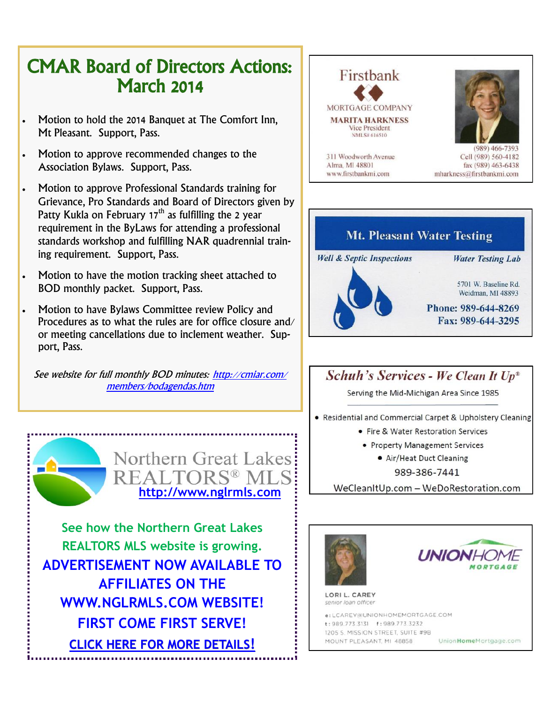## CMAR Board of Directors Actions: March 2014

- Motion to hold the 2014 Banquet at The Comfort Inn, Mt Pleasant. Support, Pass.
- Motion to approve recommended changes to the Association Bylaws. Support, Pass.
- Motion to approve Professional Standards training for Grievance, Pro Standards and Board of Directors given by Patty Kukla on February  $17<sup>th</sup>$  as fulfilling the 2 year requirement in the ByLaws for attending a professional standards workshop and fulfilling NAR quadrennial training requirement. Support, Pass.
- Motion to have the motion tracking sheet attached to BOD monthly packet. Support, Pass.
- Motion to have Bylaws Committee review Policy and Procedures as to what the rules are for office closure and/ or meeting cancellations due to inclement weather. Support, Pass.

See website for full monthly BOD minutes: [http://cmiar.com/](http://cmiar.com/members/bodagendas.htm) [members/bodagendas.htm](http://cmiar.com/members/bodagendas.htm)



**See how the Northern Great Lakes REALTORS MLS website is growing. ADVERTISEMENT NOW AVAILABLE TO AFFILIATES ON THE WWW.NGLRMLS.COM WEBSITE! FIRST COME FIRST SERVE! [CLICK HERE FOR MORE DETAILS](http://www.cmiar.com/NGLRMLS_Website_Advertising_Info.pdf)!**





 $(989) 466 - 7393$ Cell (989) 560-4182 fax (989) 463-6438 mharkness@firstbankmi.com



#### Schuh's Services - We Clean It Up\*

Serving the Mid-Michigan Area Since 1985

• Residential and Commercial Carpet & Upholstery Cleaning

- Fire & Water Restoration Services
- Property Management Services
	- Air/Heat Duct Cleaning

989-386-7441

WeCleanItUp.com - WeDoRestoration.com





LORI L. CAREY senior Ioan officer

**a: LCAREY@UNIONHOMEMORTGAGE COM** t: 989.773.3131 f: 989.773.3232 1205 S. MISSION STREET, SUITE #9B MOUNT PLEASANT, MI 48858 UnionHomeMortgage.com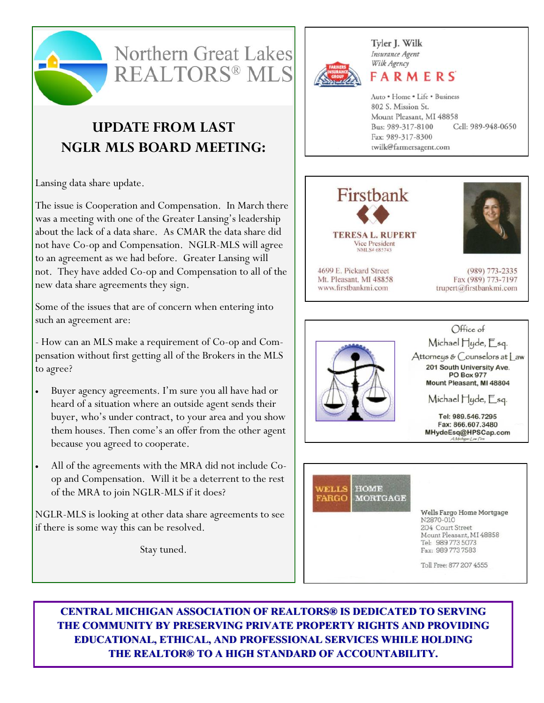



### **UPDATE FROM LAST NGLR MLS BOARD MEETING:**

Lansing data share update.

The issue is Cooperation and Compensation. In March there was a meeting with one of the Greater Lansing's leadership about the lack of a data share. As CMAR the data share did not have Co-op and Compensation. NGLR-MLS will agree to an agreement as we had before. Greater Lansing will not. They have added Co-op and Compensation to all of the new data share agreements they sign.

Some of the issues that are of concern when entering into such an agreement are:

- How can an MLS make a requirement of Co-op and Compensation without first getting all of the Brokers in the MLS to agree?

- Buyer agency agreements. I'm sure you all have had or heard of a situation where an outside agent sends their buyer, who's under contract, to your area and you show them houses. Then come's an offer from the other agent because you agreed to cooperate.
- All of the agreements with the MRA did not include Coop and Compensation. Will it be a deterrent to the rest of the MRA to join NGLR-MLS if it does?

NGLR-MLS is looking at other data share agreements to see if there is some way this can be resolved.

Stay tuned.



Tyler J. Wilk Insurance Agent Wilk Agency

FARMERS

Auto . Home . Life . Business 802 S. Mission St. Mount Pleasant, MI 48858 Bus: 989-317-8100 Cell: 989-948-0650 Fax: 989-317-8300 twilk@farmersagent.com



**TERESA L. RUPERT** Vice President NMLS# 685743

4699 E. Pickard Street Mt. Pleasant, MI 48858 www.firstbankmi.com



(989) 773-2335 Fax (989) 773-7197 trupert@firstbankmi.com





Wells Fargo Home Mortgage N2870-010 204 Court Street Mount Pleasant, MI 48858 Tel: 989 773 5073 Fax: 989 773 7583

Toll Free: 877 207 4555

**CENTRAL MICHIGAN ASSOCIATION OF REALTORS® IS DEDICATED TO SERVING THE COMMUNITY BY PRESERVING PRIVATE PROPERTY RIGHTS AND PROVIDING EDUCATIONAL, ETHICAL, AND PROFESSIONAL SERVICES WHILE HOLDING THE REALTOR® TO A HIGH STANDARD OF ACCOUNTABILITY.**